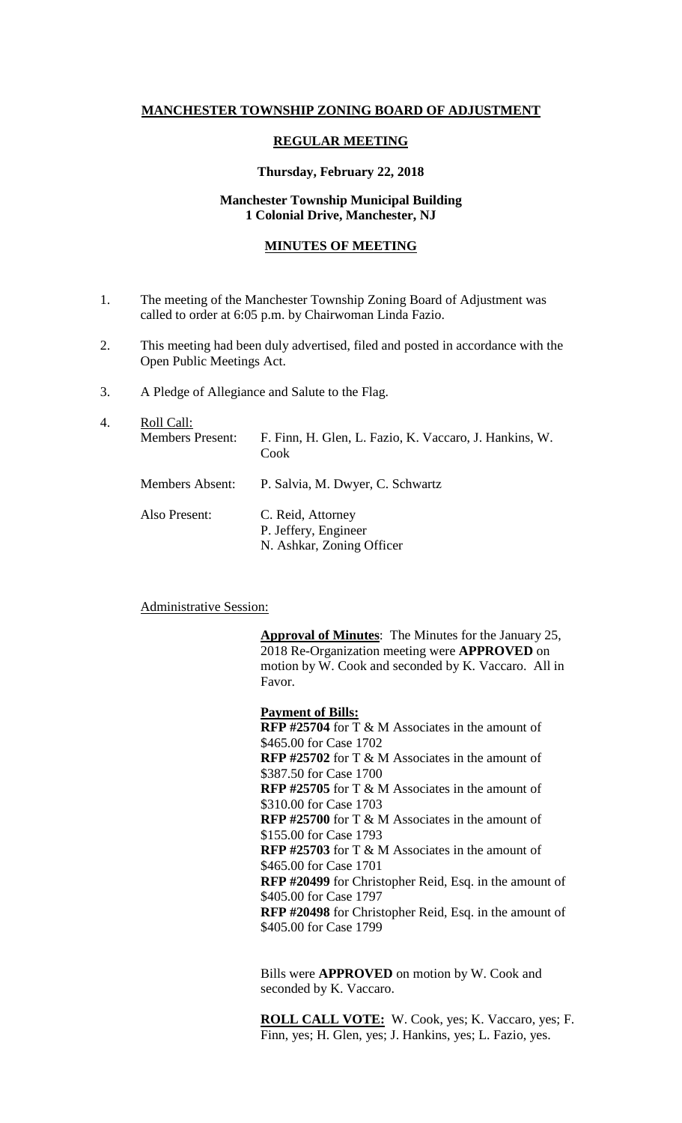# **MANCHESTER TOWNSHIP ZONING BOARD OF ADJUSTMENT**

# **REGULAR MEETING**

## **Thursday, February 22, 2018**

## **Manchester Township Municipal Building 1 Colonial Drive, Manchester, NJ**

## **MINUTES OF MEETING**

- 1. The meeting of the Manchester Township Zoning Board of Adjustment was called to order at 6:05 p.m. by Chairwoman Linda Fazio.
- 2. This meeting had been duly advertised, filed and posted in accordance with the Open Public Meetings Act.
- 3. A Pledge of Allegiance and Salute to the Flag.

| 4. | Roll Call:<br><b>Members Present:</b> | F. Finn, H. Glen, L. Fazio, K. Vaccaro, J. Hankins, W.<br>Cook         |
|----|---------------------------------------|------------------------------------------------------------------------|
|    | <b>Members Absent:</b>                | P. Salvia, M. Dwyer, C. Schwartz                                       |
|    | Also Present:                         | C. Reid, Attorney<br>P. Jeffery, Engineer<br>N. Ashkar, Zoning Officer |

#### Administrative Session:

**Approval of Minutes**: The Minutes for the January 25, 2018 Re-Organization meeting were **APPROVED** on motion by W. Cook and seconded by K. Vaccaro. All in Favor.

**Payment of Bills: RFP #25704** for T & M Associates in the amount of \$465.00 for Case 1702 **RFP #25702** for T & M Associates in the amount of \$387.50 for Case 1700 **RFP #25705** for T & M Associates in the amount of \$310.00 for Case 1703 **RFP #25700** for T & M Associates in the amount of \$155.00 for Case 1793 **RFP #25703** for T & M Associates in the amount of \$465.00 for Case 1701 **RFP #20499** for Christopher Reid, Esq. in the amount of \$405.00 for Case 1797 **RFP #20498** for Christopher Reid, Esq. in the amount of \$405.00 for Case 1799

Bills were **APPROVED** on motion by W. Cook and seconded by K. Vaccaro.

**ROLL CALL VOTE:** W. Cook, yes; K. Vaccaro, yes; F. Finn, yes; H. Glen, yes; J. Hankins, yes; L. Fazio, yes.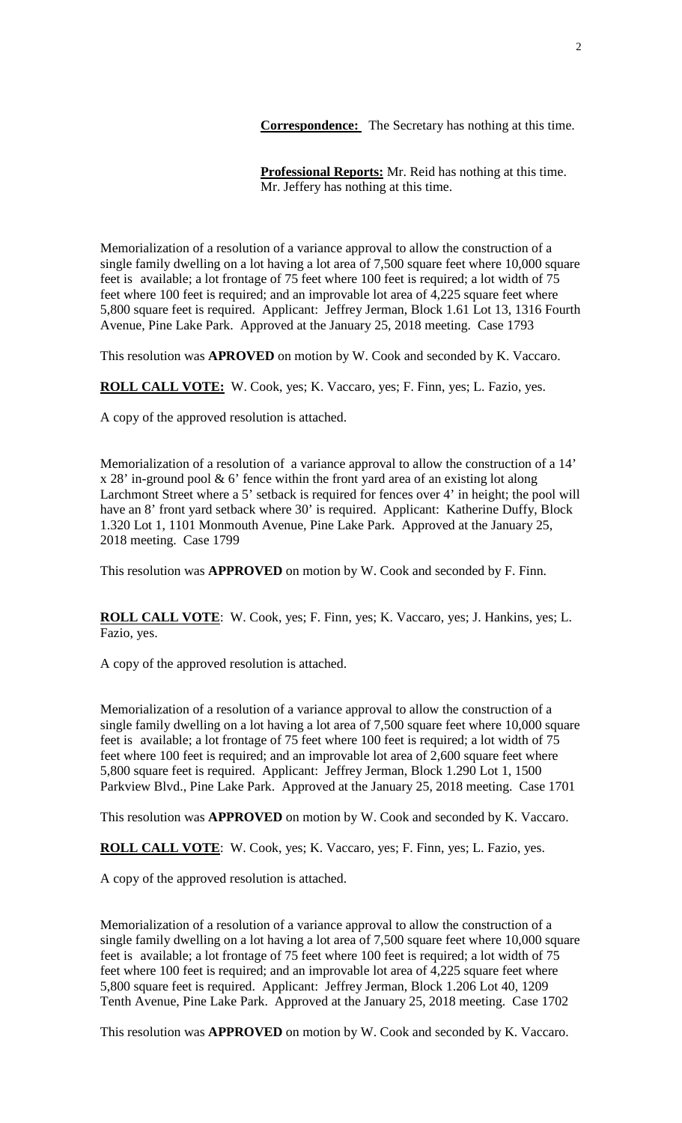**Correspondence:** The Secretary has nothing at this time.

**Professional Reports:** Mr. Reid has nothing at this time. Mr. Jeffery has nothing at this time.

Memorialization of a resolution of a variance approval to allow the construction of a single family dwelling on a lot having a lot area of 7,500 square feet where 10,000 square feet is available; a lot frontage of 75 feet where 100 feet is required; a lot width of 75 feet where 100 feet is required; and an improvable lot area of 4,225 square feet where 5,800 square feet is required. Applicant: Jeffrey Jerman, Block 1.61 Lot 13, 1316 Fourth Avenue, Pine Lake Park. Approved at the January 25, 2018 meeting. Case 1793

This resolution was **APROVED** on motion by W. Cook and seconded by K. Vaccaro.

**ROLL CALL VOTE:** W. Cook, yes; K. Vaccaro, yes; F. Finn, yes; L. Fazio, yes.

A copy of the approved resolution is attached.

Memorialization of a resolution of a variance approval to allow the construction of a 14' x 28' in-ground pool & 6' fence within the front yard area of an existing lot along Larchmont Street where a 5' setback is required for fences over 4' in height; the pool will have an 8' front yard setback where 30' is required. Applicant: Katherine Duffy, Block 1.320 Lot 1, 1101 Monmouth Avenue, Pine Lake Park. Approved at the January 25, 2018 meeting. Case 1799

This resolution was **APPROVED** on motion by W. Cook and seconded by F. Finn.

**ROLL CALL VOTE**: W. Cook, yes; F. Finn, yes; K. Vaccaro, yes; J. Hankins, yes; L. Fazio, yes.

A copy of the approved resolution is attached.

Memorialization of a resolution of a variance approval to allow the construction of a single family dwelling on a lot having a lot area of 7,500 square feet where 10,000 square feet is available; a lot frontage of 75 feet where 100 feet is required; a lot width of 75 feet where 100 feet is required; and an improvable lot area of 2,600 square feet where 5,800 square feet is required. Applicant: Jeffrey Jerman, Block 1.290 Lot 1, 1500 Parkview Blvd., Pine Lake Park. Approved at the January 25, 2018 meeting. Case 1701

This resolution was **APPROVED** on motion by W. Cook and seconded by K. Vaccaro.

**ROLL CALL VOTE**: W. Cook, yes; K. Vaccaro, yes; F. Finn, yes; L. Fazio, yes.

A copy of the approved resolution is attached.

Memorialization of a resolution of a variance approval to allow the construction of a single family dwelling on a lot having a lot area of 7,500 square feet where 10,000 square feet is available; a lot frontage of 75 feet where 100 feet is required; a lot width of 75 feet where 100 feet is required; and an improvable lot area of 4,225 square feet where 5,800 square feet is required. Applicant: Jeffrey Jerman, Block 1.206 Lot 40, 1209 Tenth Avenue, Pine Lake Park. Approved at the January 25, 2018 meeting. Case 1702

This resolution was **APPROVED** on motion by W. Cook and seconded by K. Vaccaro.